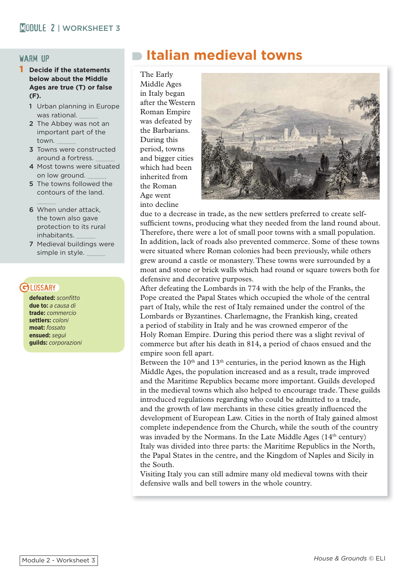### warm up

### 1 **Decide if the statements below about the Middle Ages are true (T) or false (F).**

- 1 Urban planning in Europe was rational.
- 2 The Abbey was not an important part of the town. \_\_\_\_\_
- 3 Towns were constructed around a fortress.
- 4 Most towns were situated on low ground.
- 5 The towns followed the contours of the land.
- $\frac{1}{2}$ 6 When under attack, the town also gave protection to its rural inhabitants. \_\_\_\_\_
- 7 Medieval buildings were simple in style.

### CH DSSARY

**defeated:***sconfitto* **due to:** *a causa di* **trade:** *commercio* **settlers:** *coloni* **moat:** *fossato* **ensued:** *seguì*  **guilds:** *corporazioni*

## **Italian medieval towns**

The Early Middle Ages in Italy began after the Western Roman Empire was defeated by the Barbarians. During this period, towns and bigger cities which had been inherited from the Roman Age went into decline



due to a decrease in trade, as the new settlers preferred to create selfsufficient towns, producing what they needed from the land round about. Therefore, there were a lot of small poor towns with a small population. In addition, lack of roads also prevented commerce. Some of these towns were situated where Roman colonies had been previously, while others grew around a castle or monastery. These towns were surrounded by a moat and stone or brick walls which had round or square towers both for defensive and decorative purposes.

After defeating the Lombards in 774 with the help of the Franks, the Pope created the Papal States which occupied the whole of the central part of Italy, while the rest of Italy remained under the control of the Lombards or Byzantines. Charlemagne, the Frankish king, created a period of stability in Italy and he was crowned emperor of the Holy Roman Empire. During this period there was a slight revival of commerce but after his death in 814, a period of chaos ensued and the empire soon fell apart.

Between the  $10<sup>th</sup>$  and  $13<sup>th</sup>$  centuries, in the period known as the High Middle Ages, the population increased and as a result, trade improved and the Maritime Republics became more important. Guilds developed in the medieval towns which also helped to encourage trade. These guilds introduced regulations regarding who could be admitted to a trade, and the growth of law merchants in these cities greatly influenced the development of European Law. Cities in the north of Italy gained almost complete independence from the Church, while the south of the country was invaded by the Normans. In the Late Middle Ages  $(14<sup>th</sup> century)$ Italy was divided into three parts: the Maritime Republics in the North, the Papal States in the centre, and the Kingdom of Naples and Sicily in the South.

Visiting Italy you can still admire many old medieval towns with their defensive walls and bell towers in the whole country.